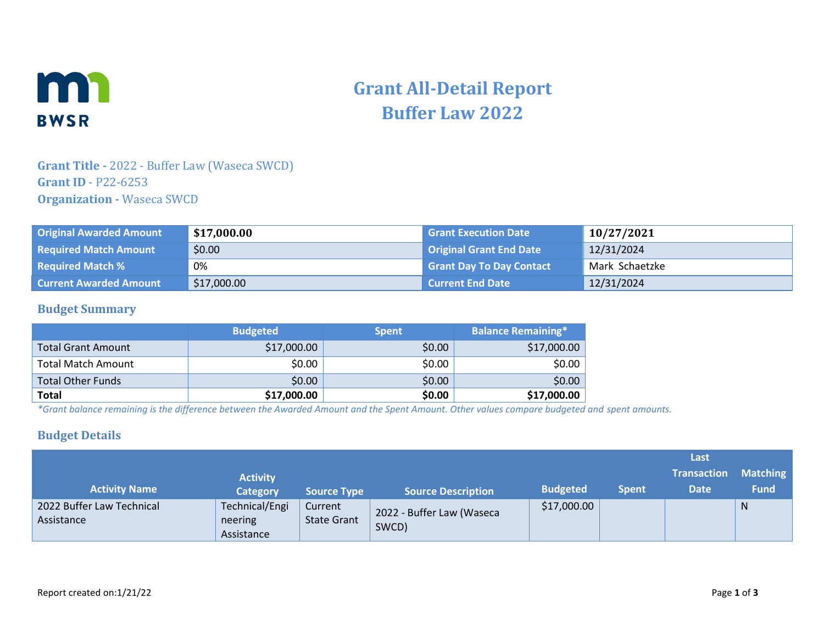

# **Grant All-Detail Report Buffer Law 2022**

## **Grant Title -** 2022 - Buffer Law (Waseca SWCD) **Grant ID** - P22-6253 **Organization -** Waseca SWCD

| <b>Original Awarded Amount</b> | \$17,000.00 | <b>Grant Execution Date</b>     | 10/27/2021     |
|--------------------------------|-------------|---------------------------------|----------------|
| <b>Required Match Amount</b>   | \$0.00      | <b>Original Grant End Date</b>  | 12/31/2024     |
| <b>Required Match %</b>        | 0%          | <b>Grant Day To Day Contact</b> | Mark Schaetzke |
| <b>Current Awarded Amount</b>  | \$17,000.00 | <b>Current End Date \</b>       | 12/31/2024     |

#### **Budget Summary**

|                           | <b>Budgeted</b> | <b>Spent</b> | <b>Balance Remaining*</b> |
|---------------------------|-----------------|--------------|---------------------------|
| <b>Total Grant Amount</b> | \$17,000.00     | \$0.00       | \$17,000.00               |
| Total Match Amount        | \$0.00          | \$0.00       | \$0.00                    |
| <b>Total Other Funds</b>  | \$0.00          | \$0.00       | \$0.00                    |
| <b>Total</b>              | \$17,000.00     | \$0.00       | \$17,000.00               |

*\*Grant balance remaining is the difference between the Awarded Amount and the Spent Amount. Other values compare budgeted and spent amounts.*

#### **Budget Details**

|                                         |                                         |                               |                                    |                 |              | Last               |                 |
|-----------------------------------------|-----------------------------------------|-------------------------------|------------------------------------|-----------------|--------------|--------------------|-----------------|
|                                         | <b>Activity</b>                         |                               |                                    |                 |              | <b>Transaction</b> | <b>Matching</b> |
| <b>Activity Name</b>                    | <b>Category</b>                         | <b>Source Type</b>            | <b>Source Description</b>          | <b>Budgeted</b> | <b>Spent</b> | <b>Date</b>        | <b>Fund</b>     |
| 2022 Buffer Law Technical<br>Assistance | Technical/Engi<br>neering<br>Assistance | Current<br><b>State Grant</b> | 2022 - Buffer Law (Waseca<br>SWCD) | \$17,000.00     |              |                    | N               |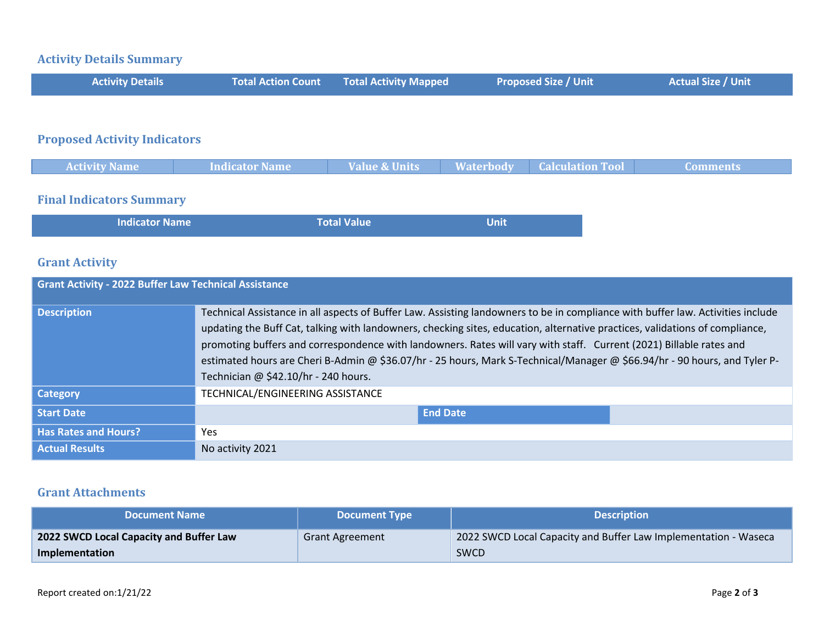# **Activity Details Summary**

| <b>Activity Details</b>             | <b>Total Action Count</b> | <b>Total Activity Mapped</b> | <b>Proposed Size / Unit</b> | <b>Actual Size / Unit</b> |
|-------------------------------------|---------------------------|------------------------------|-----------------------------|---------------------------|
|                                     |                           |                              |                             |                           |
| <b>Proposed Activity Indicators</b> |                           |                              |                             |                           |

| <b>Activity Name</b> | <b>Indicator Name</b> | <b>Value &amp; Units</b> | <b>Waterbody Calculation Tool</b> | Comments |
|----------------------|-----------------------|--------------------------|-----------------------------------|----------|
|                      |                       |                          |                                   |          |

# **Final Indicators Summary**

| <b>Indicator Name</b> | <b>Total Value</b> | <b>Unit</b> |  |
|-----------------------|--------------------|-------------|--|
|                       |                    |             |  |

## **Grant Activity**

| <b>Grant Activity - 2022 Buffer Law Technical Assistance</b> |                                                                                                                                                                                                                                                                                                                                                                                                                                                                                                                                                             |  |  |  |
|--------------------------------------------------------------|-------------------------------------------------------------------------------------------------------------------------------------------------------------------------------------------------------------------------------------------------------------------------------------------------------------------------------------------------------------------------------------------------------------------------------------------------------------------------------------------------------------------------------------------------------------|--|--|--|
| <b>Description</b>                                           | Technical Assistance in all aspects of Buffer Law. Assisting landowners to be in compliance with buffer law. Activities include<br>updating the Buff Cat, talking with landowners, checking sites, education, alternative practices, validations of compliance,<br>promoting buffers and correspondence with landowners. Rates will vary with staff. Current (2021) Billable rates and<br>estimated hours are Cheri B-Admin @ \$36.07/hr - 25 hours, Mark S-Technical/Manager @ \$66.94/hr - 90 hours, and Tyler P-<br>Technician @ \$42.10/hr - 240 hours. |  |  |  |
| <b>Category</b>                                              | TECHNICAL/ENGINEERING ASSISTANCE                                                                                                                                                                                                                                                                                                                                                                                                                                                                                                                            |  |  |  |
| <b>Start Date</b>                                            | <b>End Date</b>                                                                                                                                                                                                                                                                                                                                                                                                                                                                                                                                             |  |  |  |
| <b>Has Rates and Hours?</b>                                  | Yes.                                                                                                                                                                                                                                                                                                                                                                                                                                                                                                                                                        |  |  |  |
| <b>Actual Results</b>                                        | No activity 2021                                                                                                                                                                                                                                                                                                                                                                                                                                                                                                                                            |  |  |  |

## **Grant Attachments**

| <b>Document Name</b>                    | <b>Document Type</b> | <b>Description</b>                                              |  |
|-----------------------------------------|----------------------|-----------------------------------------------------------------|--|
| 2022 SWCD Local Capacity and Buffer Law | Grant Agreement      | 2022 SWCD Local Capacity and Buffer Law Implementation - Waseca |  |
| Implementation                          |                      | SWCD                                                            |  |